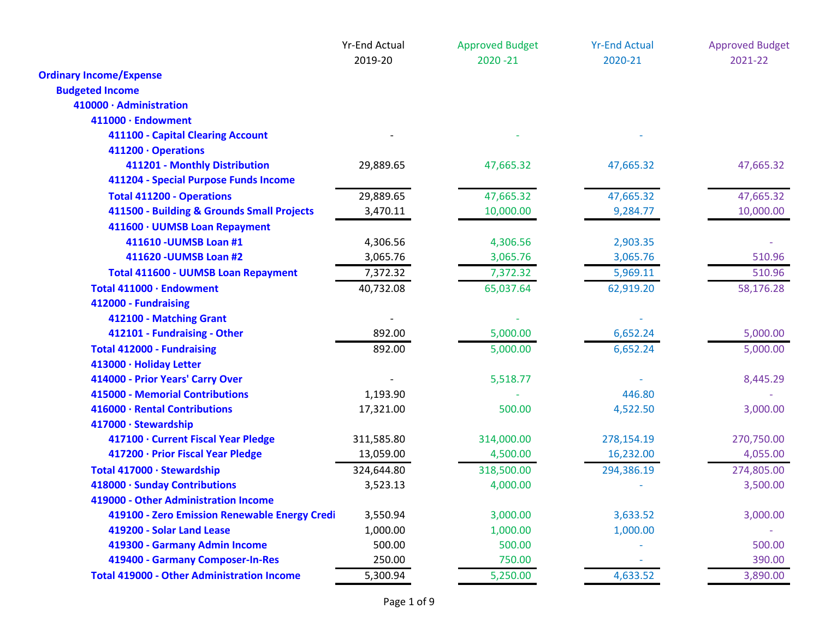|                                                   | <b>Yr-End Actual</b><br>2019-20 | <b>Approved Budget</b><br>$2020 - 21$ | <b>Yr-End Actual</b><br>2020-21 | <b>Approved Budget</b><br>2021-22 |
|---------------------------------------------------|---------------------------------|---------------------------------------|---------------------------------|-----------------------------------|
| <b>Ordinary Income/Expense</b>                    |                                 |                                       |                                 |                                   |
| <b>Budgeted Income</b>                            |                                 |                                       |                                 |                                   |
| 410000 · Administration                           |                                 |                                       |                                 |                                   |
| 411000 · Endowment                                |                                 |                                       |                                 |                                   |
| 411100 - Capital Clearing Account                 |                                 |                                       |                                 |                                   |
| 411200 · Operations                               |                                 |                                       |                                 |                                   |
| 411201 - Monthly Distribution                     | 29,889.65                       | 47,665.32                             | 47,665.32                       | 47,665.32                         |
| 411204 - Special Purpose Funds Income             |                                 |                                       |                                 |                                   |
| <b>Total 411200 - Operations</b>                  | 29,889.65                       | 47,665.32                             | 47,665.32                       | 47,665.32                         |
| 411500 - Building & Grounds Small Projects        | 3,470.11                        | 10,000.00                             | 9,284.77                        | 10,000.00                         |
| 411600 · UUMSB Loan Repayment                     |                                 |                                       |                                 |                                   |
| 411610 - UUMSB Loan #1                            | 4,306.56                        | 4,306.56                              | 2,903.35                        |                                   |
| 411620 - UUMSB Loan #2                            | 3,065.76                        | 3,065.76                              | 3,065.76                        | 510.96                            |
| <b>Total 411600 - UUMSB Loan Repayment</b>        | 7,372.32                        | 7,372.32                              | 5,969.11                        | 510.96                            |
| Total 411000 · Endowment                          | 40,732.08                       | 65,037.64                             | 62,919.20                       | 58,176.28                         |
| 412000 - Fundraising                              |                                 |                                       |                                 |                                   |
| 412100 - Matching Grant                           |                                 |                                       |                                 |                                   |
| 412101 - Fundraising - Other                      | 892.00                          | 5,000.00                              | 6,652.24                        | 5,000.00                          |
| <b>Total 412000 - Fundraising</b>                 | 892.00                          | 5,000.00                              | 6,652.24                        | 5,000.00                          |
| 413000 · Holiday Letter                           |                                 |                                       |                                 |                                   |
| 414000 - Prior Years' Carry Over                  |                                 | 5,518.77                              |                                 | 8,445.29                          |
| 415000 - Memorial Contributions                   | 1,193.90                        |                                       | 446.80                          |                                   |
| 416000 · Rental Contributions                     | 17,321.00                       | 500.00                                | 4,522.50                        | 3,000.00                          |
| 417000 · Stewardship                              |                                 |                                       |                                 |                                   |
| 417100 · Current Fiscal Year Pledge               | 311,585.80                      | 314,000.00                            | 278,154.19                      | 270,750.00                        |
| 417200 · Prior Fiscal Year Pledge                 | 13,059.00                       | 4,500.00                              | 16,232.00                       | 4,055.00                          |
| Total 417000 · Stewardship                        | 324,644.80                      | 318,500.00                            | 294,386.19                      | 274,805.00                        |
| 418000 · Sunday Contributions                     | 3,523.13                        | 4,000.00                              |                                 | 3,500.00                          |
| 419000 - Other Administration Income              |                                 |                                       |                                 |                                   |
| 419100 - Zero Emission Renewable Energy Credi     | 3,550.94                        | 3,000.00                              | 3,633.52                        | 3,000.00                          |
| 419200 - Solar Land Lease                         | 1,000.00                        | 1,000.00                              | 1,000.00                        |                                   |
| 419300 - Garmany Admin Income                     | 500.00                          | 500.00                                |                                 | 500.00                            |
| 419400 - Garmany Composer-In-Res                  | 250.00                          | 750.00                                |                                 | 390.00                            |
| <b>Total 419000 - Other Administration Income</b> | 5,300.94                        | 5,250.00                              | 4,633.52                        | 3,890.00                          |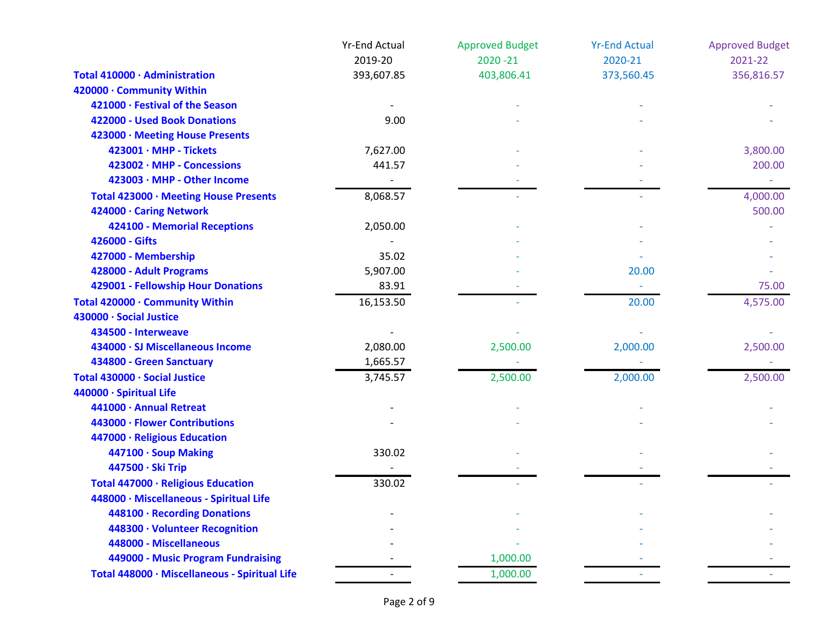|                                               | <b>Yr-End Actual</b> | <b>Approved Budget</b> | <b>Yr-End Actual</b> | <b>Approved Budget</b> |
|-----------------------------------------------|----------------------|------------------------|----------------------|------------------------|
|                                               | 2019-20              | $2020 - 21$            | 2020-21              | 2021-22                |
| Total 410000 · Administration                 | 393,607.85           | 403,806.41             | 373,560.45           | 356,816.57             |
| 420000 · Community Within                     |                      |                        |                      |                        |
| 421000 · Festival of the Season               |                      |                        |                      |                        |
| 422000 - Used Book Donations                  | 9.00                 |                        |                      |                        |
| 423000 · Meeting House Presents               |                      |                        |                      |                        |
| $423001 \cdot \text{MHP}$ - Tickets           | 7,627.00             |                        |                      | 3,800.00               |
| 423002 · MHP - Concessions                    | 441.57               |                        |                      | 200.00                 |
| 423003 · MHP - Other Income                   |                      |                        |                      |                        |
| Total 423000 · Meeting House Presents         | 8,068.57             |                        |                      | 4,000.00               |
| 424000 · Caring Network                       |                      |                        |                      | 500.00                 |
| 424100 - Memorial Receptions                  | 2,050.00             |                        |                      |                        |
| 426000 - Gifts                                |                      |                        |                      |                        |
| 427000 - Membership                           | 35.02                |                        |                      |                        |
| 428000 - Adult Programs                       | 5,907.00             |                        | 20.00                |                        |
| 429001 - Fellowship Hour Donations            | 83.91                |                        |                      | 75.00                  |
| Total 420000 · Community Within               | 16,153.50            |                        | 20.00                | 4,575.00               |
| 430000 · Social Justice                       |                      |                        |                      |                        |
| 434500 - Interweave                           |                      |                        |                      |                        |
| 434000 · SJ Miscellaneous Income              | 2,080.00             | 2,500.00               | 2,000.00             | 2,500.00               |
| 434800 - Green Sanctuary                      | 1,665.57             |                        |                      |                        |
| Total 430000 · Social Justice                 | 3,745.57             | 2,500.00               | 2,000.00             | 2,500.00               |
| 440000 · Spiritual Life                       |                      |                        |                      |                        |
| 441000 · Annual Retreat                       |                      |                        |                      |                        |
| 443000 · Flower Contributions                 |                      |                        |                      |                        |
| 447000 · Religious Education                  |                      |                        |                      |                        |
| 447100 · Soup Making                          | 330.02               |                        |                      |                        |
| 447500 · Ski Trip                             |                      |                        |                      |                        |
| Total 447000 · Religious Education            | 330.02               |                        |                      |                        |
| 448000 · Miscellaneous - Spiritual Life       |                      |                        |                      |                        |
| 448100 · Recording Donations                  |                      |                        |                      |                        |
| 448300 · Volunteer Recognition                |                      |                        |                      |                        |
| 448000 - Miscellaneous                        |                      |                        |                      |                        |
| 449000 - Music Program Fundraising            |                      | 1,000.00               |                      |                        |
| Total 448000 · Miscellaneous - Spiritual Life |                      | 1,000.00               |                      |                        |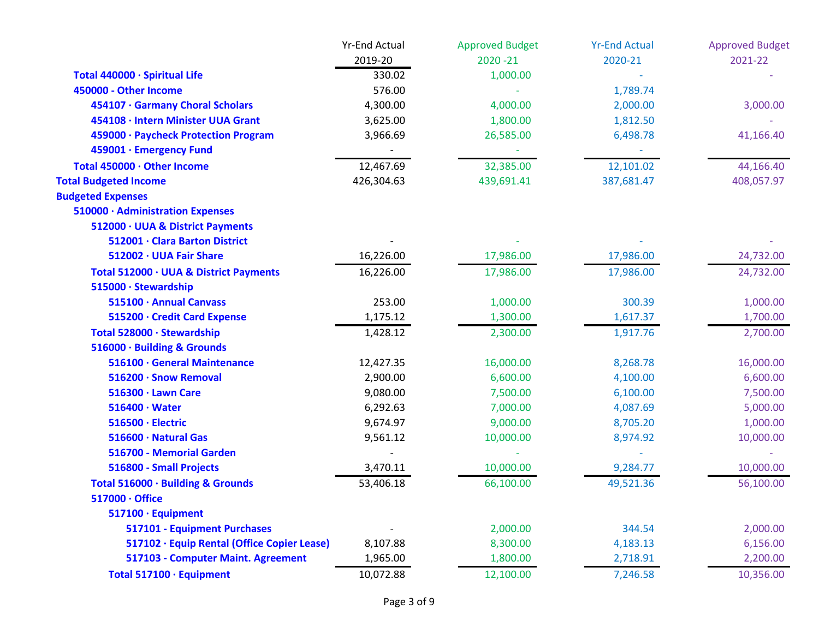|                                             | <b>Yr-End Actual</b> | <b>Approved Budget</b> | <b>Yr-End Actual</b> | <b>Approved Budget</b> |
|---------------------------------------------|----------------------|------------------------|----------------------|------------------------|
|                                             | 2019-20              | $2020 - 21$            | 2020-21              | 2021-22                |
| Total 440000 · Spiritual Life               | 330.02               | 1,000.00               |                      |                        |
| 450000 - Other Income                       | 576.00               |                        | 1,789.74             |                        |
| 454107 · Garmany Choral Scholars            | 4,300.00             | 4,000.00               | 2,000.00             | 3,000.00               |
| 454108 · Intern Minister UUA Grant          | 3,625.00             | 1,800.00               | 1,812.50             |                        |
| 459000 · Paycheck Protection Program        | 3,966.69             | 26,585.00              | 6,498.78             | 41,166.40              |
| 459001 · Emergency Fund                     |                      |                        |                      |                        |
| Total 450000 · Other Income                 | 12,467.69            | 32,385.00              | 12,101.02            | 44,166.40              |
| <b>Total Budgeted Income</b>                | 426,304.63           | 439,691.41             | 387,681.47           | 408,057.97             |
| <b>Budgeted Expenses</b>                    |                      |                        |                      |                        |
| 510000 · Administration Expenses            |                      |                        |                      |                        |
| 512000 · UUA & District Payments            |                      |                        |                      |                        |
| 512001 · Clara Barton District              |                      |                        |                      |                        |
| 512002 · UUA Fair Share                     | 16,226.00            | 17,986.00              | 17,986.00            | 24,732.00              |
| Total 512000 · UUA & District Payments      | 16,226.00            | 17,986.00              | 17,986.00            | 24,732.00              |
| 515000 · Stewardship                        |                      |                        |                      |                        |
| 515100 · Annual Canvass                     | 253.00               | 1,000.00               | 300.39               | 1,000.00               |
| 515200 · Credit Card Expense                | 1,175.12             | 1,300.00               | 1,617.37             | 1,700.00               |
| Total 528000 · Stewardship                  | 1,428.12             | 2,300.00               | 1,917.76             | 2,700.00               |
| 516000 · Building & Grounds                 |                      |                        |                      |                        |
| 516100 · General Maintenance                | 12,427.35            | 16,000.00              | 8,268.78             | 16,000.00              |
| 516200 · Snow Removal                       | 2,900.00             | 6,600.00               | 4,100.00             | 6,600.00               |
| 516300 · Lawn Care                          | 9,080.00             | 7,500.00               | 6,100.00             | 7,500.00               |
| $516400 \cdot Water$                        | 6,292.63             | 7,000.00               | 4,087.69             | 5,000.00               |
| 516500 · Electric                           | 9,674.97             | 9,000.00               | 8,705.20             | 1,000.00               |
| 516600 · Natural Gas                        | 9,561.12             | 10,000.00              | 8,974.92             | 10,000.00              |
| 516700 - Memorial Garden                    |                      |                        |                      |                        |
| 516800 - Small Projects                     | 3,470.11             | 10,000.00              | 9,284.77             | 10,000.00              |
| Total 516000 · Building & Grounds           | 53,406.18            | 66,100.00              | 49,521.36            | 56,100.00              |
| $517000 \cdot$ Office                       |                      |                        |                      |                        |
| 517100 · Equipment                          |                      |                        |                      |                        |
| 517101 - Equipment Purchases                |                      | 2,000.00               | 344.54               | 2,000.00               |
| 517102 · Equip Rental (Office Copier Lease) | 8,107.88             | 8,300.00               | 4,183.13             | 6,156.00               |
| 517103 - Computer Maint. Agreement          | 1,965.00             | 1,800.00               | 2,718.91             | 2,200.00               |
| Total 517100 · Equipment                    | 10,072.88            | 12,100.00              | 7,246.58             | 10,356.00              |
|                                             |                      |                        |                      |                        |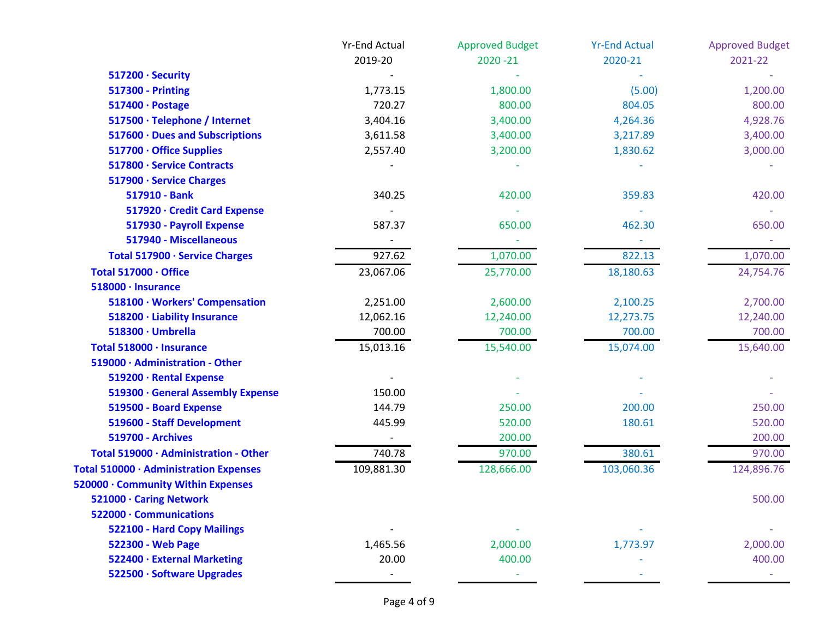|                                        | <b>Yr-End Actual</b> | <b>Approved Budget</b> | <b>Yr-End Actual</b> | <b>Approved Budget</b> |
|----------------------------------------|----------------------|------------------------|----------------------|------------------------|
|                                        | 2019-20              | $2020 - 21$            | 2020-21              | 2021-22                |
| 517200 · Security                      |                      |                        |                      |                        |
| <b>517300 - Printing</b>               | 1,773.15             | 1,800.00               | (5.00)               | 1,200.00               |
| 517400 · Postage                       | 720.27               | 800.00                 | 804.05               | 800.00                 |
| 517500 · Telephone / Internet          | 3,404.16             | 3,400.00               | 4,264.36             | 4,928.76               |
| 517600 · Dues and Subscriptions        | 3,611.58             | 3,400.00               | 3,217.89             | 3,400.00               |
| 517700 · Office Supplies               | 2,557.40             | 3,200.00               | 1,830.62             | 3,000.00               |
| 517800 · Service Contracts             |                      |                        |                      |                        |
| 517900 · Service Charges               |                      |                        |                      |                        |
| 517910 - Bank                          | 340.25               | 420.00                 | 359.83               | 420.00                 |
| 517920 · Credit Card Expense           |                      |                        |                      |                        |
| 517930 - Payroll Expense               | 587.37               | 650.00                 | 462.30               | 650.00                 |
| 517940 - Miscellaneous                 |                      |                        |                      |                        |
| Total 517900 · Service Charges         | 927.62               | 1,070.00               | 822.13               | 1,070.00               |
| Total 517000 · Office                  | 23,067.06            | 25,770.00              | 18,180.63            | 24,754.76              |
| 518000 · Insurance                     |                      |                        |                      |                        |
| 518100 · Workers' Compensation         | 2,251.00             | 2,600.00               | 2,100.25             | 2,700.00               |
| 518200 · Liability Insurance           | 12,062.16            | 12,240.00              | 12,273.75            | 12,240.00              |
| 518300 · Umbrella                      | 700.00               | 700.00                 | 700.00               | 700.00                 |
| Total 518000 · Insurance               | 15,013.16            | 15,540.00              | 15,074.00            | 15,640.00              |
| 519000 · Administration - Other        |                      |                        |                      |                        |
| 519200 · Rental Expense                |                      |                        |                      |                        |
| 519300 · General Assembly Expense      | 150.00               |                        |                      |                        |
| 519500 - Board Expense                 | 144.79               | 250.00                 | 200.00               | 250.00                 |
| 519600 - Staff Development             | 445.99               | 520.00                 | 180.61               | 520.00                 |
| <b>519700 - Archives</b>               |                      | 200.00                 |                      | 200.00                 |
| Total 519000 · Administration - Other  | 740.78               | 970.00                 | 380.61               | 970.00                 |
| Total 510000 · Administration Expenses | 109,881.30           | 128,666.00             | 103,060.36           | 124,896.76             |
| 520000 · Community Within Expenses     |                      |                        |                      |                        |
| 521000 · Caring Network                |                      |                        |                      | 500.00                 |
| 522000 · Communications                |                      |                        |                      |                        |
| 522100 - Hard Copy Mailings            |                      |                        |                      |                        |
| 522300 - Web Page                      | 1,465.56             | 2,000.00               | 1,773.97             | 2,000.00               |
| 522400 · External Marketing            | 20.00                | 400.00                 |                      | 400.00                 |
| 522500 · Software Upgrades             |                      |                        |                      |                        |
|                                        |                      |                        |                      |                        |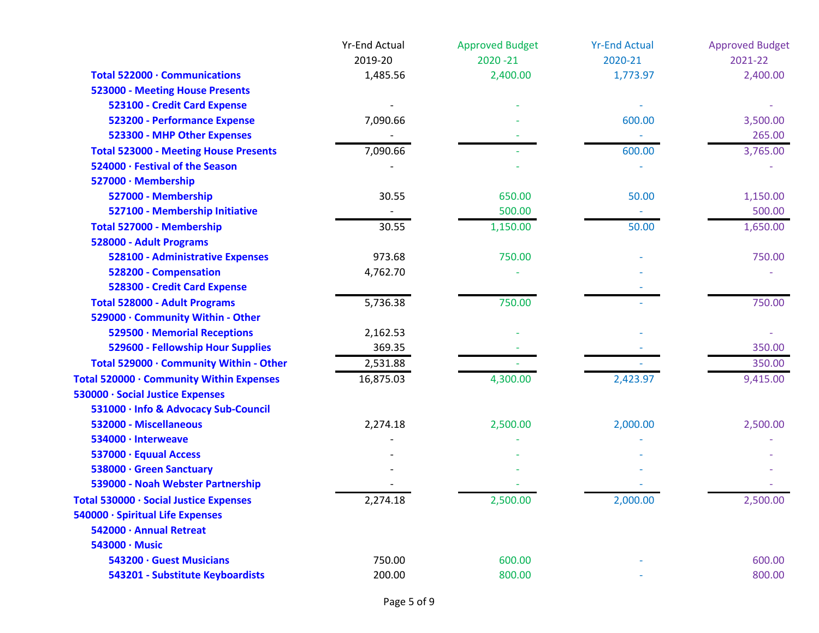|                                              | <b>Yr-End Actual</b> | <b>Approved Budget</b> | <b>Yr-End Actual</b> | <b>Approved Budget</b> |
|----------------------------------------------|----------------------|------------------------|----------------------|------------------------|
|                                              | 2019-20              | $2020 - 21$            | 2020-21              | 2021-22                |
| Total 522000 · Communications                | 1,485.56             | 2,400.00               | 1,773.97             | 2,400.00               |
| <b>523000 - Meeting House Presents</b>       |                      |                        |                      |                        |
| 523100 - Credit Card Expense                 |                      |                        |                      |                        |
| 523200 - Performance Expense                 | 7,090.66             |                        | 600.00               | 3,500.00               |
| 523300 - MHP Other Expenses                  |                      |                        |                      | 265.00                 |
| <b>Total 523000 - Meeting House Presents</b> | 7,090.66             |                        | 600.00               | 3,765.00               |
| 524000 · Festival of the Season              |                      |                        |                      |                        |
| 527000 · Membership                          |                      |                        |                      |                        |
| 527000 - Membership                          | 30.55                | 650.00                 | 50.00                | 1,150.00               |
| 527100 - Membership Initiative               |                      | 500.00                 |                      | 500.00                 |
| Total 527000 - Membership                    | 30.55                | 1,150.00               | 50.00                | 1,650.00               |
| 528000 - Adult Programs                      |                      |                        |                      |                        |
| <b>528100 - Administrative Expenses</b>      | 973.68               | 750.00                 |                      | 750.00                 |
| 528200 - Compensation                        | 4,762.70             |                        |                      |                        |
| 528300 - Credit Card Expense                 |                      |                        |                      |                        |
| <b>Total 528000 - Adult Programs</b>         | 5,736.38             | 750.00                 |                      | 750.00                 |
| 529000 · Community Within - Other            |                      |                        |                      |                        |
| 529500 · Memorial Receptions                 | 2,162.53             |                        |                      |                        |
| 529600 - Fellowship Hour Supplies            | 369.35               |                        |                      | 350.00                 |
| Total 529000 · Community Within - Other      | 2,531.88             |                        |                      | 350.00                 |
| Total 520000 · Community Within Expenses     | 16,875.03            | 4,300.00               | 2,423.97             | 9,415.00               |
| 530000 · Social Justice Expenses             |                      |                        |                      |                        |
| 531000 · Info & Advocacy Sub-Council         |                      |                        |                      |                        |
| 532000 - Miscellaneous                       | 2,274.18             | 2,500.00               | 2,000.00             | 2,500.00               |
| 534000 · Interweave                          |                      |                        |                      |                        |
| 537000 · Equual Access                       |                      |                        |                      |                        |
| 538000 · Green Sanctuary                     |                      |                        |                      |                        |
| 539000 - Noah Webster Partnership            |                      |                        |                      |                        |
| Total 530000 · Social Justice Expenses       | 2,274.18             | 2,500.00               | 2,000.00             | 2,500.00               |
| 540000 · Spiritual Life Expenses             |                      |                        |                      |                        |
| 542000 · Annual Retreat                      |                      |                        |                      |                        |
| 543000 · Music                               |                      |                        |                      |                        |
| 543200 · Guest Musicians                     | 750.00               | 600.00                 |                      | 600.00                 |
| 543201 - Substitute Keyboardists             | 200.00               | 800.00                 |                      | 800.00                 |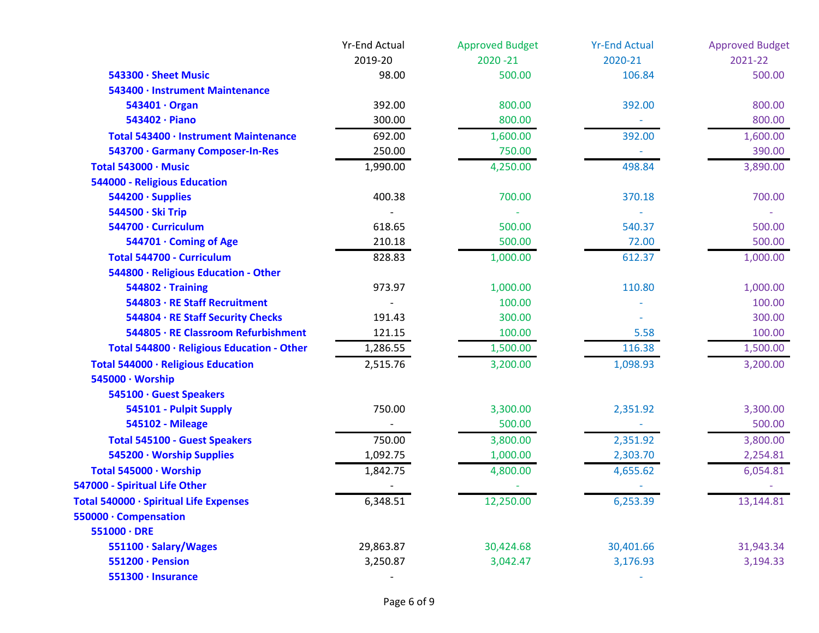|                                            | <b>Yr-End Actual</b> | <b>Approved Budget</b> | <b>Yr-End Actual</b> | <b>Approved Budget</b> |
|--------------------------------------------|----------------------|------------------------|----------------------|------------------------|
|                                            | 2019-20              | $2020 - 21$            | 2020-21              | 2021-22                |
| 543300 · Sheet Music                       | 98.00                | 500.00                 | 106.84               | 500.00                 |
| 543400 · Instrument Maintenance            |                      |                        |                      |                        |
| 543401 · Organ                             | 392.00               | 800.00                 | 392.00               | 800.00                 |
| 543402 · Piano                             | 300.00               | 800.00                 |                      | 800.00                 |
| Total 543400 · Instrument Maintenance      | 692.00               | 1,600.00               | 392.00               | 1,600.00               |
| 543700 · Garmany Composer-In-Res           | 250.00               | 750.00                 |                      | 390.00                 |
| Total 543000 · Music                       | 1,990.00             | 4,250.00               | 498.84               | 3,890.00               |
| 544000 - Religious Education               |                      |                        |                      |                        |
| 544200 · Supplies                          | 400.38               | 700.00                 | 370.18               | 700.00                 |
| 544500 · Ski Trip                          |                      |                        |                      |                        |
| 544700 · Curriculum                        | 618.65               | 500.00                 | 540.37               | 500.00                 |
| 544701 · Coming of Age                     | 210.18               | 500.00                 | 72.00                | 500.00                 |
| Total 544700 - Curriculum                  | 828.83               | 1,000.00               | 612.37               | 1,000.00               |
| 544800 · Religious Education - Other       |                      |                        |                      |                        |
| $544802 \cdot$ Training                    | 973.97               | 1,000.00               | 110.80               | 1,000.00               |
| 544803 · RE Staff Recruitment              |                      | 100.00                 |                      | 100.00                 |
| 544804 · RE Staff Security Checks          | 191.43               | 300.00                 |                      | 300.00                 |
| 544805 · RE Classroom Refurbishment        | 121.15               | 100.00                 | 5.58                 | 100.00                 |
| Total 544800 · Religious Education - Other | 1,286.55             | 1,500.00               | 116.38               | 1,500.00               |
| Total 544000 · Religious Education         | 2,515.76             | 3,200.00               | 1,098.93             | 3,200.00               |
| 545000 · Worship                           |                      |                        |                      |                        |
| 545100 · Guest Speakers                    |                      |                        |                      |                        |
| 545101 - Pulpit Supply                     | 750.00               | 3,300.00               | 2,351.92             | 3,300.00               |
| <b>545102 - Mileage</b>                    |                      | 500.00                 |                      | 500.00                 |
| <b>Total 545100 - Guest Speakers</b>       | 750.00               | 3,800.00               | 2,351.92             | 3,800.00               |
| 545200 · Worship Supplies                  | 1,092.75             | 1,000.00               | 2,303.70             | 2,254.81               |
| Total 545000 · Worship                     | 1,842.75             | 4,800.00               | 4,655.62             | 6,054.81               |
| 547000 - Spiritual Life Other              |                      |                        |                      |                        |
| Total 540000 · Spiritual Life Expenses     | 6,348.51             | 12,250.00              | 6,253.39             | 13,144.81              |
| 550000 · Compensation                      |                      |                        |                      |                        |
| $551000 \cdot DRE$                         |                      |                        |                      |                        |
| 551100 · Salary/Wages                      | 29,863.87            | 30,424.68              | 30,401.66            | 31,943.34              |
| 551200 · Pension                           | 3,250.87             | 3,042.47               | 3,176.93             | 3,194.33               |
| 551300 · Insurance                         |                      |                        |                      |                        |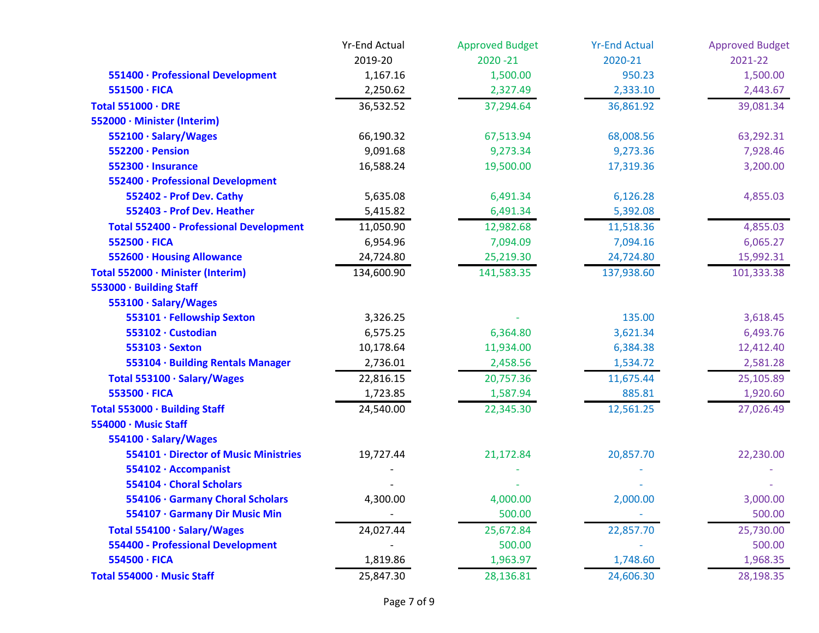|                                                | <b>Yr-End Actual</b> | <b>Approved Budget</b> | <b>Yr-End Actual</b> | <b>Approved Budget</b> |
|------------------------------------------------|----------------------|------------------------|----------------------|------------------------|
|                                                | 2019-20              | $2020 - 21$            | 2020-21              | 2021-22                |
| 551400 · Professional Development              | 1,167.16             | 1,500.00               | 950.23               | 1,500.00               |
| 551500 · FICA                                  | 2,250.62             | 2,327.49               | 2,333.10             | 2,443.67               |
| Total 551000 · DRE                             | 36,532.52            | 37,294.64              | 36,861.92            | 39,081.34              |
| 552000 · Minister (Interim)                    |                      |                        |                      |                        |
| 552100 · Salary/Wages                          | 66,190.32            | 67,513.94              | 68,008.56            | 63,292.31              |
| 552200 · Pension                               | 9,091.68             | 9,273.34               | 9,273.36             | 7,928.46               |
| 552300 · Insurance                             | 16,588.24            | 19,500.00              | 17,319.36            | 3,200.00               |
| 552400 · Professional Development              |                      |                        |                      |                        |
| 552402 - Prof Dev. Cathy                       | 5,635.08             | 6,491.34               | 6,126.28             | 4,855.03               |
| 552403 - Prof Dev. Heather                     | 5,415.82             | 6,491.34               | 5,392.08             |                        |
| <b>Total 552400 - Professional Development</b> | 11,050.90            | 12,982.68              | 11,518.36            | 4,855.03               |
| 552500 · FICA                                  | 6,954.96             | 7,094.09               | 7,094.16             | 6,065.27               |
| 552600 · Housing Allowance                     | 24,724.80            | 25,219.30              | 24,724.80            | 15,992.31              |
| Total 552000 · Minister (Interim)              | 134,600.90           | 141,583.35             | 137,938.60           | 101,333.38             |
| 553000 · Building Staff                        |                      |                        |                      |                        |
| 553100 · Salary/Wages                          |                      |                        |                      |                        |
| 553101 · Fellowship Sexton                     | 3,326.25             |                        | 135.00               | 3,618.45               |
| 553102 · Custodian                             | 6,575.25             | 6,364.80               | 3,621.34             | 6,493.76               |
| 553103 · Sexton                                | 10,178.64            | 11,934.00              | 6,384.38             | 12,412.40              |
| 553104 · Building Rentals Manager              | 2,736.01             | 2,458.56               | 1,534.72             | 2,581.28               |
| Total 553100 · Salary/Wages                    | 22,816.15            | 20,757.36              | 11,675.44            | 25,105.89              |
| 553500 · FICA                                  | 1,723.85             | 1,587.94               | 885.81               | 1,920.60               |
| Total 553000 · Building Staff                  | 24,540.00            | 22,345.30              | 12,561.25            | 27,026.49              |
| 554000 · Music Staff                           |                      |                        |                      |                        |
| 554100 · Salary/Wages                          |                      |                        |                      |                        |
| 554101 · Director of Music Ministries          | 19,727.44            | 21,172.84              | 20,857.70            | 22,230.00              |
| 554102 · Accompanist                           |                      |                        |                      |                        |
| 554104 · Choral Scholars                       |                      |                        |                      |                        |
| 554106 · Garmany Choral Scholars               | 4,300.00             | 4,000.00               | 2,000.00             | 3,000.00               |
| 554107 · Garmany Dir Music Min                 |                      | 500.00                 |                      | 500.00                 |
| Total 554100 · Salary/Wages                    | 24,027.44            | 25,672.84              | 22,857.70            | 25,730.00              |
| <b>554400 - Professional Development</b>       |                      | 500.00                 |                      | 500.00                 |
| 554500 · FICA                                  | 1,819.86             | 1,963.97               | 1,748.60             | 1,968.35               |
| Total 554000 · Music Staff                     | 25,847.30            | 28,136.81              | 24,606.30            | 28,198.35              |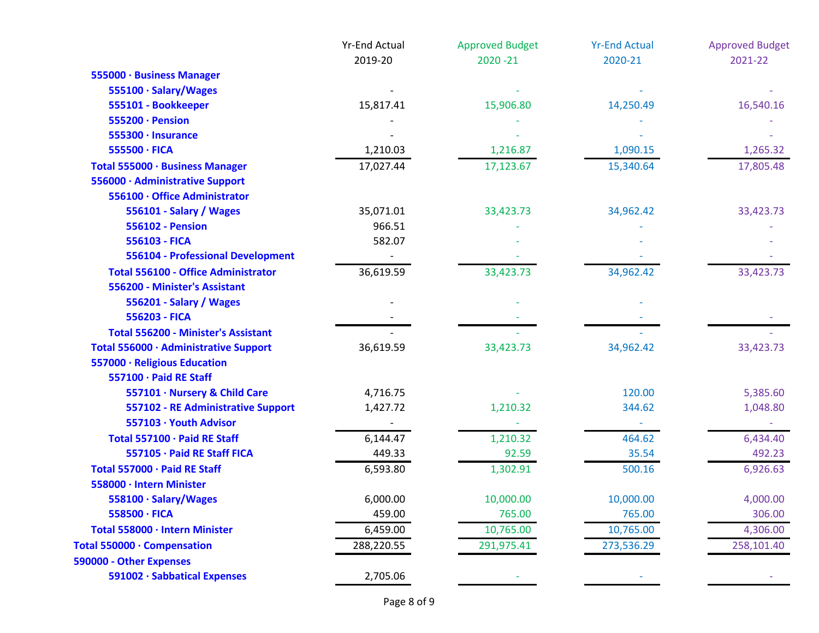|                                            | <b>Yr-End Actual</b> | <b>Approved Budget</b> | <b>Yr-End Actual</b> | <b>Approved Budget</b> |
|--------------------------------------------|----------------------|------------------------|----------------------|------------------------|
|                                            | 2019-20              | $2020 - 21$            | 2020-21              | 2021-22                |
| 555000 · Business Manager                  |                      |                        |                      |                        |
| 555100 · Salary/Wages                      |                      |                        |                      |                        |
| 555101 - Bookkeeper                        | 15,817.41            | 15,906.80              | 14,250.49            | 16,540.16              |
| 555200 · Pension                           |                      |                        |                      |                        |
| 555300 · Insurance                         |                      |                        |                      |                        |
| 555500 · FICA                              | 1,210.03             | 1,216.87               | 1,090.15             | 1,265.32               |
| Total 555000 · Business Manager            | 17,027.44            | 17,123.67              | 15,340.64            | 17,805.48              |
| 556000 · Administrative Support            |                      |                        |                      |                        |
| 556100 · Office Administrator              |                      |                        |                      |                        |
| 556101 - Salary / Wages                    | 35,071.01            | 33,423.73              | 34,962.42            | 33,423.73              |
| <b>556102 - Pension</b>                    | 966.51               |                        |                      |                        |
| 556103 - FICA                              | 582.07               |                        |                      |                        |
| 556104 - Professional Development          |                      |                        |                      |                        |
| <b>Total 556100 - Office Administrator</b> | 36,619.59            | 33,423.73              | 34,962.42            | 33,423.73              |
| 556200 - Minister's Assistant              |                      |                        |                      |                        |
| 556201 - Salary / Wages                    |                      |                        |                      |                        |
| 556203 - FICA                              |                      |                        |                      |                        |
| <b>Total 556200 - Minister's Assistant</b> |                      |                        |                      |                        |
| Total 556000 · Administrative Support      | 36,619.59            | 33,423.73              | 34,962.42            | 33,423.73              |
| 557000 · Religious Education               |                      |                        |                      |                        |
| 557100 · Paid RE Staff                     |                      |                        |                      |                        |
| 557101 · Nursery & Child Care              | 4,716.75             |                        | 120.00               | 5,385.60               |
| 557102 - RE Administrative Support         | 1,427.72             | 1,210.32               | 344.62               | 1,048.80               |
| 557103 · Youth Advisor                     |                      |                        |                      |                        |
| Total 557100 · Paid RE Staff               | 6,144.47             | 1,210.32               | 464.62               | 6,434.40               |
| 557105 · Paid RE Staff FICA                | 449.33               | 92.59                  | 35.54                | 492.23                 |
| Total 557000 · Paid RE Staff               | 6,593.80             | 1,302.91               | 500.16               | 6,926.63               |
| 558000 · Intern Minister                   |                      |                        |                      |                        |
| 558100 · Salary/Wages                      | 6,000.00             | 10,000.00              | 10,000.00            | 4,000.00               |
| 558500 · FICA                              | 459.00               | 765.00                 | 765.00               | 306.00                 |
| Total 558000 · Intern Minister             | 6,459.00             | 10,765.00              | 10,765.00            | 4,306.00               |
| Total 550000 · Compensation                | 288,220.55           | 291,975.41             | 273,536.29           | 258,101.40             |
| 590000 - Other Expenses                    |                      |                        |                      |                        |
| 591002 · Sabbatical Expenses               | 2,705.06             |                        |                      |                        |
|                                            |                      |                        |                      |                        |